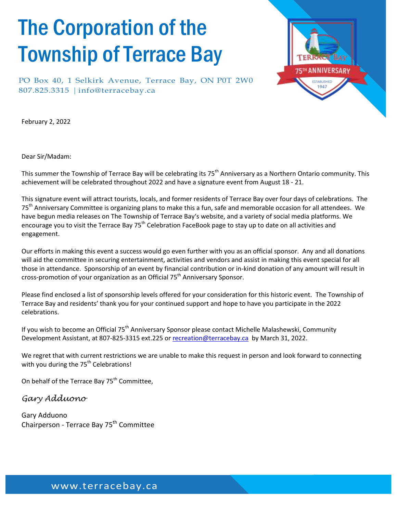## The Corporation of the Township of Terrace Bay

PO Box 40, 1 Selkirk Avenue, Terrace Bay, ON P0T 2W0 807.825.3315 | [info@terracebay.ca](mailto:info@terracebay.ca)



February 2, 2022

Dear Sir/Madam:

This summer the Township of Terrace Bay will be celebrating its 75<sup>th</sup> Anniversary as a Northern Ontario community. This achievement will be celebrated throughout 2022 and have a signature event from August 18 - 21.

This signature event will attract tourists, locals, and former residents of Terrace Bay over four days of celebrations. The 75<sup>th</sup> Anniversary Committee is organizing plans to make this a fun, safe and memorable occasion for all attendees. We have begun media releases on The Township of Terrace Bay's website, and a variety of social media platforms. We encourage you to visit the Terrace Bay 75<sup>th</sup> Celebration FaceBook page to stay up to date on all activities and engagement.

Our efforts in making this event a success would go even further with you as an official sponsor. Any and all donations will aid the committee in securing entertainment, activities and vendors and assist in making this event special for all those in attendance. Sponsorship of an event by financial contribution or in-kind donation of any amount will result in cross-promotion of your organization as an Official 75<sup>th</sup> Anniversary Sponsor.

Please find enclosed a list of sponsorship levels offered for your consideration for this historic event. The Township of Terrace Bay and residents' thank you for your continued support and hope to have you participate in the 2022 celebrations.

If you wish to become an Official 75<sup>th</sup> Anniversary Sponsor please contact Michelle Malashewski, Community Development Assistant, at 807-825-3315 ext.225 or [recreation@terracebay.ca](mailto:recreation@terracebay.ca) by March 31, 2022.

We regret that with current restrictions we are unable to make this request in person and look forward to connecting with you during the  $75<sup>th</sup>$  Celebrations!

On behalf of the Terrace Bay 75<sup>th</sup> Committee,

#### *Gary Adduono*

Gary Adduono Chairperson - Terrace Bay 75<sup>th</sup> Committee